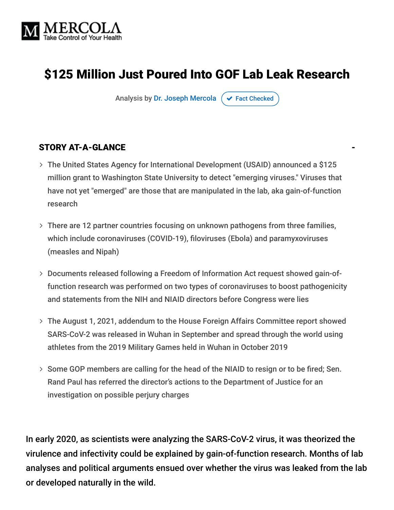

# \$125 Million Just Poured Into GOF Lab Leak Research

Analysis by [Dr. Joseph Mercola](https://www.mercola.com/forms/background.htm)  $\sigma$  [Fact Checked](javascript:void(0))

#### STORY AT-A-GLANCE

- The United States Agency for International Development (USAID) announced a \$125 million grant to Washington State University to detect "emerging viruses." Viruses that have not yet "emerged" are those that are manipulated in the lab, aka gain-of-function research
- There are 12 partner countries focusing on unknown pathogens from three families, which include coronaviruses (COVID-19), filoviruses (Ebola) and paramyxoviruses (measles and Nipah)
- Documents released following a Freedom of Information Act request showed gain-of function research was performed on two types of coronaviruses to boost pathogenicity and statements from the NIH and NIAID directors before Congress were lies
- The August 1, 2021, addendum to the House Foreign Affairs Committee report showed SARS-CoV-2 was released in Wuhan in September and spread through the world using athletes from the 2019 Military Games held in Wuhan in October 2019
- > Some GOP members are calling for the head of the NIAID to resign or to be fired; Sen. Rand Paul has referred the director's actions to the Department of Justice for an investigation on possible perjury charges

In early 2020, as scientists were analyzing the SARS-CoV-2 virus, it was theorized the virulence and infectivity could be explained by gain-of-function research. Months of lab analyses and political arguments ensued over whether the virus was leaked from the lab or developed naturally in the wild.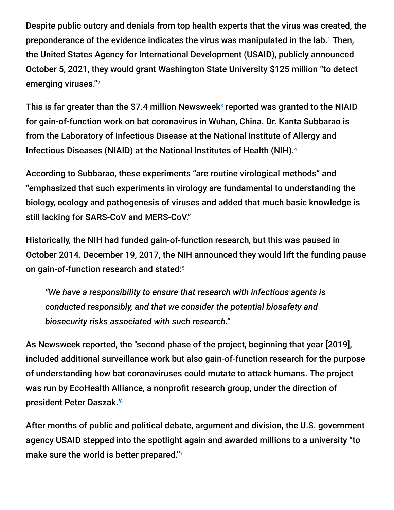Despite public outcry and denials from top health experts that the virus was created, the preponderance of the evidence indicates the virus was manipulated in the lab.<sup>1</sup> Then, the United States Agency for International Development (USAID), publicly announced October 5, 2021, they would grant Washington State University \$125 million "to detect emerging viruses." 2

This is far greater than the \$7.4 million Newsweek $^{\circ}$  reported was granted to the NIAID for gain-of-function work on bat coronavirus in Wuhan, China. Dr. Kanta Subbarao is from the Laboratory of Infectious Disease at the National Institute of Allergy and Infectious Diseases (NIAID) at the National Institutes of Health (NIH). 4

According to Subbarao, these experiments "are routine virological methods" and "emphasized that such experiments in virology are fundamental to understanding the biology, ecology and pathogenesis of viruses and added that much basic knowledge is still lacking for SARS-CoV and MERS-CoV."

Historically, the NIH had funded gain-of-function research, but this was paused in October 2014. December 19, 2017, the NIH announced they would lift the funding pause on gain-of-function research and stated: 5

*"We have a responsibility to ensure that research with infectious agents is conducted responsibly, and that we consider the potential biosafety and biosecurity risks associated with such research."*

As Newsweek reported, the "second phase of the project, beginning that year [2019], included additional surveillance work but also gain-of-function research for the purpose of understanding how bat coronaviruses could mutate to attack humans. The project was run by EcoHealth Alliance, a nonprofit research group, under the direction of president Peter Daszak." 6

After months of public and political debate, argument and division, the U.S. government agency USAID stepped into the spotlight again and awarded millions to a university "to make sure the world is better prepared."7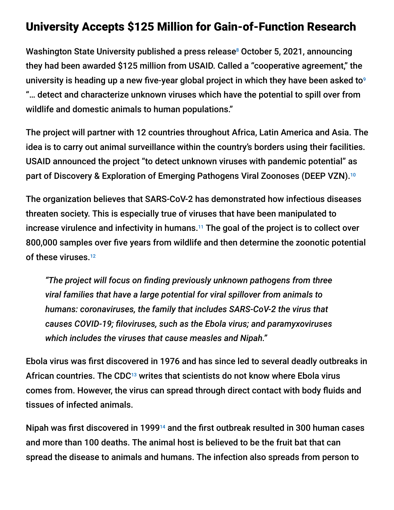### University Accepts \$125 Million for Gain-of-Function Research

Washington State University published a press release<sup>8</sup> October 5, 2021, announcing they had been awarded \$125 million from USAID. Called a "cooperative agreement," the university is heading up a new five-year global project in which they have been asked to 9 "… detect and characterize unknown viruses which have the potential to spill over from wildlife and domestic animals to human populations."

The project will partner with 12 countries throughout Africa, Latin America and Asia. The idea is to carry out animal surveillance within the country's borders using their facilities. USAID announced the project "to detect unknown viruses with pandemic potential" as part of Discovery & Exploration of Emerging Pathogens Viral Zoonoses (DEEP VZN). 10

The organization believes that SARS-CoV-2 has demonstrated how infectious diseases threaten society. This is especially true of viruses that have been manipulated to increase virulence and infectivity in humans. $11$  The goal of the project is to collect over 800,000 samples over five years from wildlife and then determine the zoonotic potential of these viruses. 12

*"The project will focus on finding previously unknown pathogens from three viral families that have a large potential for viral spillover from animals to humans: coronaviruses, the family that includes SARS-CoV-2 the virus that causes COVID-19; filoviruses, such as the Ebola virus; and paramyxoviruses which includes the viruses that cause measles and Nipah."*

Ebola virus was first discovered in 1976 and has since led to several deadly outbreaks in African countries. The CDC<sup>13</sup> writes that scientists do not know where Ebola virus comes from. However, the virus can spread through direct contact with body fluids and tissues of infected animals.

Nipah was first discovered in 1999<sup>14</sup> and the first outbreak resulted in 300 human cases and more than 100 deaths. The animal host is believed to be the fruit bat that can spread the disease to animals and humans. The infection also spreads from person to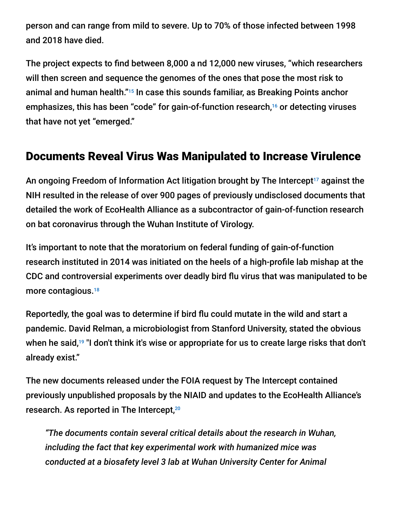person and can range from mild to severe. Up to 70% of those infected between 1998 and 2018 have died.

The project expects to find between 8,000 a nd 12,000 new viruses, "which researchers will then screen and sequence the genomes of the ones that pose the most risk to animal and human health."<sup>15</sup> In case this sounds familiar, as Breaking Points anchor emphasizes, this has been "code" for gain-of-function research,<sup>16</sup> or detecting viruses that have not yet "emerged."

# Documents Reveal Virus Was Manipulated to Increase Virulence

An ongoing Freedom of Information Act litigation brought by The Intercept<sup>17</sup> against the NIH resulted in the release of over 900 pages of previously undisclosed documents that detailed the work of EcoHealth Alliance as a subcontractor of gain-of-function research on bat coronavirus through the Wuhan Institute of Virology.

It's important to note that the moratorium on federal funding of gain-of-function research instituted in 2014 was initiated on the heels of a high-profile lab mishap at the CDC and controversial experiments over deadly bird flu virus that was manipulated to be more contagious. 18

Reportedly, the goal was to determine if bird flu could mutate in the wild and start a pandemic. David Relman, a microbiologist from Stanford University, stated the obvious when he said, $^{19}$  "I don't think it's wise or appropriate for us to create large risks that don't already exist."

The new documents released under the FOIA request by The Intercept contained previously unpublished proposals by the NIAID and updates to the EcoHealth Alliance's research. As reported in The Intercept, 20

*"The documents contain several critical details about the research in Wuhan, including the fact that key experimental work with humanized mice was conducted at a biosafety level 3 lab at Wuhan University Center for Animal*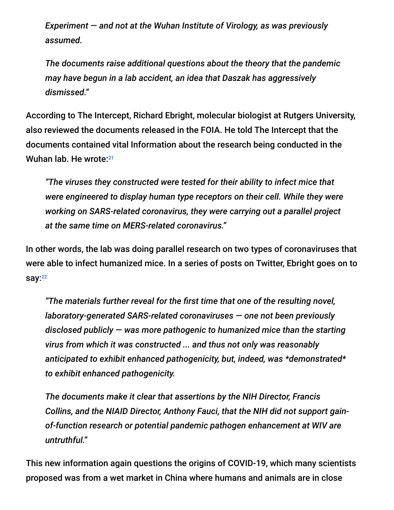*Experiment — and not at the Wuhan Institute of Virology, as was previously assumed.*

*The documents raise additional questions about the theory that the pandemic may have begun in a lab accident, an idea that Daszak has aggressively dismissed."*

According to The Intercept, Richard Ebright, molecular biologist at Rutgers University, also reviewed the documents released in the FOIA. He told The Intercept that the documents contained vital Information about the research being conducted in the Wuhan lab. He wrote: 21

*"The viruses they constructed were tested for their ability to infect mice that were engineered to display human type receptors on their cell. While they were working on SARS-related coronavirus, they were carrying out a parallel project at the same time on MERS-related coronavirus."*

In other words, the lab was doing parallel research on two types of coronaviruses that were able to infect humanized mice. In a series of posts on Twitter, Ebright goes on to say:<sup>22</sup>

*"The materials further reveal for the first time that one of the resulting novel, laboratory-generated SARS-related coronaviruses — one not been previously disclosed publicly — was more pathogenic to humanized mice than the starting virus from which it was constructed ... and thus not only was reasonably anticipated to exhibit enhanced pathogenicity, but, indeed, was \*demonstrated\* to exhibit enhanced pathogenicity.*

*The documents make it clear that assertions by the NIH Director, Francis Collins, and the NIAID Director, Anthony Fauci, that the NIH did not support gainof-function research or potential pandemic pathogen enhancement at WIV are untruthful."*

This new information again questions the origins of COVID-19, which many scientists proposed was from a wet market in China where humans and animals are in close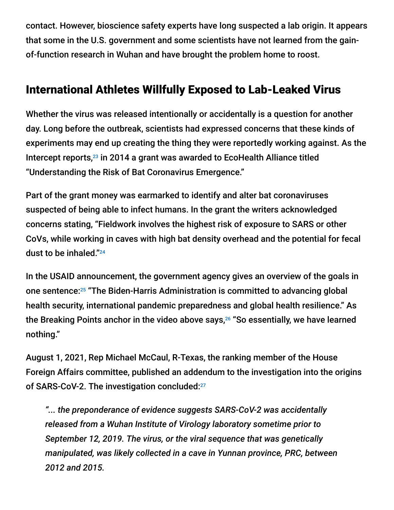contact. However, bioscience safety experts have long suspected a lab origin. It appears that some in the U.S. government and some scientists have not learned from the gainof-function research in Wuhan and have brought the problem home to roost.

# International Athletes Willfully Exposed to Lab-Leaked Virus

Whether the virus was released intentionally or accidentally is a question for another day. Long before the outbreak, scientists had expressed concerns that these kinds of experiments may end up creating the thing they were reportedly working against. As the Intercept reports, $^{23}$  in 2014 a grant was awarded to EcoHealth Alliance titled "Understanding the Risk of Bat Coronavirus Emergence."

Part of the grant money was earmarked to identify and alter bat coronaviruses suspected of being able to infect humans. In the grant the writers acknowledged concerns stating, "Fieldwork involves the highest risk of exposure to SARS or other CoVs, while working in caves with high bat density overhead and the potential for fecal dust to be inhaled." 24

In the USAID announcement, the government agency gives an overview of the goals in one sentence:<sup>25</sup> "The Biden-Harris Administration is committed to advancing global health security, international pandemic preparedness and global health resilience." As the Breaking Points anchor in the video above says,<sup>26</sup> "So essentially, we have learned nothing."

August 1, 2021, Rep Michael McCaul, R-Texas, the ranking member of the House Foreign Affairs committee, published an addendum to the investigation into the origins of SARS-CoV-2. The investigation concluded:<sup>27</sup>

*"... the preponderance of evidence suggests SARS-CoV-2 was accidentally released from a Wuhan Institute of Virology laboratory sometime prior to September 12, 2019. The virus, or the viral sequence that was genetically manipulated, was likely collected in a cave in Yunnan province, PRC, between 2012 and 2015.*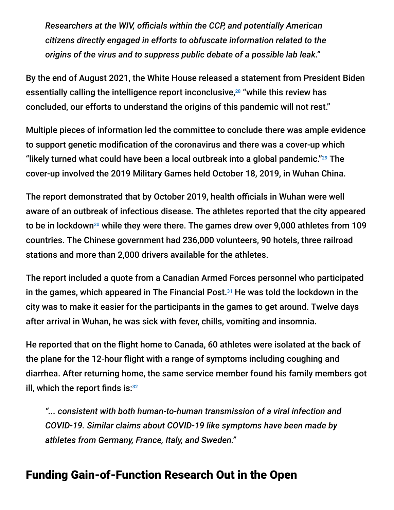*Researchers at the WIV, officials within the CCP, and potentially American citizens directly engaged in efforts to obfuscate information related to the origins of the virus and to suppress public debate of a possible lab leak."*

By the end of August 2021, the White House released a statement from President Biden essentially calling the intelligence report inconclusive,<sup>28</sup> "while this review has concluded, our efforts to understand the origins of this pandemic will not rest."

Multiple pieces of information led the committee to conclude there was ample evidence to support genetic modification of the coronavirus and there was a cover-up which "likely turned what could have been a local outbreak into a global pandemic." $^{29}$  The cover-up involved the 2019 Military Games held October 18, 2019, in Wuhan China.

The report demonstrated that by October 2019, health officials in Wuhan were well aware of an outbreak of infectious disease. The athletes reported that the city appeared to be in lockdown $^{\text{30}}$  while they were there. The games drew over 9,000 athletes from 109 countries. The Chinese government had 236,000 volunteers, 90 hotels, three railroad stations and more than 2,000 drivers available for the athletes.

The report included a quote from a Canadian Armed Forces personnel who participated in the games, which appeared in The Financial Post. $31$  He was told the lockdown in the city was to make it easier for the participants in the games to get around. Twelve days after arrival in Wuhan, he was sick with fever, chills, vomiting and insomnia.

He reported that on the flight home to Canada, 60 athletes were isolated at the back of the plane for the 12-hour flight with a range of symptoms including coughing and diarrhea. After returning home, the same service member found his family members got ill, which the report finds is: $32$ 

*"... consistent with both human-to-human transmission of a viral infection and COVID-19. Similar claims about COVID-19 like symptoms have been made by athletes from Germany, France, Italy, and Sweden."*

### Funding Gain-of-Function Research Out in the Open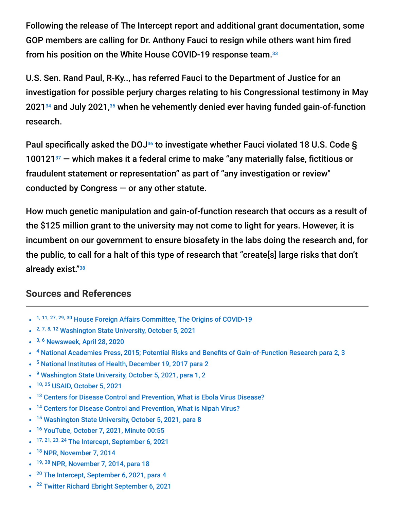Following the release of The Intercept report and additional grant documentation, some GOP members are calling for Dr. Anthony Fauci to resign while others want him fired from his position on the White House COVID-19 response team. 33

U.S. Sen. Rand Paul, R-Ky.., has referred Fauci to the Department of Justice for an investigation for possible perjury charges relating to his Congressional testimony in May 2021<sup>34</sup> and July 2021,<sup>35</sup> when he vehemently denied ever having funded gain-of-function research.

Paul specifically asked the DOJ<sup>36</sup> to investigate whether Fauci violated 18 U.S. Code §  $100121<sup>37</sup>$  – which makes it a federal crime to make "any materially false, fictitious or fraudulent statement or representation" as part of "any investigation or review" conducted by Congress  $-$  or any other statute.

How much genetic manipulation and gain-of-function research that occurs as a result of the \$125 million grant to the university may not come to light for years. However, it is incumbent on our government to ensure biosafety in the labs doing the research and, for the public, to call for a halt of this type of research that "create[s] large risks that don't already exist." 38

#### **Sources and References**

- 1, 11, 27, 29, 30 [House Foreign Affairs Committee, The Origins of COVID-19](https://gop-foreignaffairs.house.gov/wp-content/uploads/2021/08/ORIGINS-OF-COVID-19-REPORT.pdf)
- <sup>2, 7, 8, 12</sup> [Washington State University, October 5, 2021](https://news.wsu.edu/press-release/2021/10/05/wsu-to-lead-125-million-usaid-project-to-detect-emerging-viruses/)
- <sup>3, 6</sup> [Newsweek, April 28, 2020](https://www.newsweek.com/dr-fauci-backed-controversial-wuhan-lab-millions-us-dollars-risky-coronavirus-research-1500741)
- <sup>4</sup> [National Academies Press, 2015; Potential Risks and Benefits of Gain-of-Function Research para 2, 3](https://www.ncbi.nlm.nih.gov/books/NBK285579/)
- <sup>5</sup> [National Institutes of Health, December 19, 2017 para 2](https://www.nih.gov/about-nih/who-we-are/nih-director/statements/nih-lifts-funding-pause-gain-function-research)
- <sup>9</sup> [Washington State University, October 5, 2021, para 1, 2](https://news.wsu.edu/press-release/2021/10/05/wsu-to-lead-125-million-usaid-project-to-detect-emerging-viruses/)
- <sup>10, 25</sup> [USAID, October 5, 2021](https://www.usaid.gov/news-information/press-releases/oct-5-2021-usaid-announces-new-125-million-project-detect-unknown-viruses)  $\bullet$
- <sup>13</sup> [Centers for Disease Control and Prevention, What is Ebola Virus Disease?](https://www.cdc.gov/vhf/ebola/about.html)
- <sup>14</sup> [Centers for Disease Control and Prevention, What is Nipah Virus?](https://www.cdc.gov/vhf/nipah/about/index.html)  $\bullet$
- <sup>15</sup> [Washington State University, October 5, 2021, para 8](https://news.wsu.edu/press-release/2021/10/05/wsu-to-lead-125-million-usaid-project-to-detect-emerging-viruses/)
- <sup>16</sup> [YouTube, October 7, 2021, Minute 00:55](https://www.youtube.com/watch?v=T_NgT-UEtV4)
- 17, 21, 23, 24 [The Intercept, September 6, 2021](https://theintercept.com/2021/09/06/new-details-emerge-about-coronavirus-research-at-chinese-lab/)
- <sup>18</sup> [NPR, November 7, 2014](https://www.npr.org/sections/health-shots/2014/11/07/361219361/how-a-tilt-toward-safety-stopped-a-scientists-virus-research)  $\bullet$
- <sup>19, 38</sup> [NPR, November 7, 2014, para 18](https://www.npr.org/sections/health-shots/2014/11/07/361219361/how-a-tilt-toward-safety-stopped-a-scientists-virus-research)
- <sup>20</sup> [The Intercept, September 6, 2021, para 4](https://theintercept.com/2021/09/06/new-details-emerge-about-coronavirus-research-at-chinese-lab/)  $\bullet$
- <sup>22</sup> [Twitter Richard Ebright September 6, 2021](https://twitter.com/r_h_ebright/status/1435053505169944579?s=21)